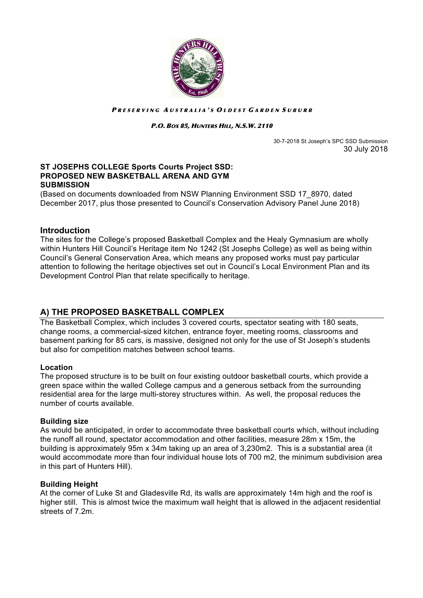

#### PRESERVING AUSTRALIA'S OLDEST GARDEN SUBURB

#### P.O. BOX 85, HUNTERS HILL, N.S.W. 2110

 30-7-2018 St Joseph's SPC SSD Submission 30 July 2018

### **ST JOSEPHS COLLEGE Sports Courts Project SSD: PROPOSED NEW BASKETBALL ARENA AND GYM SUBMISSION**

(Based on documents downloaded from NSW Planning Environment SSD 17\_8970, dated December 2017, plus those presented to Council's Conservation Advisory Panel June 2018)

## **Introduction**

The sites for the College's proposed Basketball Complex and the Healy Gymnasium are wholly within Hunters Hill Council's Heritage item No 1242 (St Josephs College) as well as being within Council's General Conservation Area, which means any proposed works must pay particular attention to following the heritage objectives set out in Council's Local Environment Plan and its Development Control Plan that relate specifically to heritage.

# **A) THE PROPOSED BASKETBALL COMPLEX**

The Basketball Complex, which includes 3 covered courts, spectator seating with 180 seats, change rooms, a commercial-sized kitchen, entrance foyer, meeting rooms, classrooms and basement parking for 85 cars, is massive, designed not only for the use of St Joseph's students but also for competition matches between school teams.

### **Location**

The proposed structure is to be built on four existing outdoor basketball courts, which provide a green space within the walled College campus and a generous setback from the surrounding residential area for the large multi-storey structures within. As well, the proposal reduces the number of courts available.

### **Building size**

As would be anticipated, in order to accommodate three basketball courts which, without including the runoff all round, spectator accommodation and other facilities, measure 28m x 15m, the building is approximately 95m x 34m taking up an area of 3,230m2. This is a substantial area (it would accommodate more than four individual house lots of 700 m2, the minimum subdivision area in this part of Hunters Hill).

### **Building Height**

At the corner of Luke St and Gladesville Rd, its walls are approximately 14m high and the roof is higher still. This is almost twice the maximum wall height that is allowed in the adjacent residential streets of 7.2m.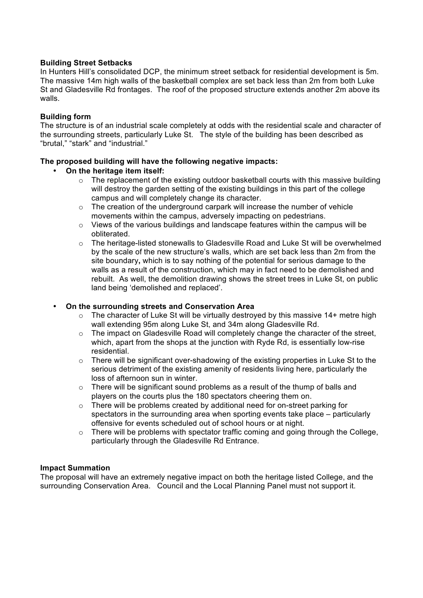# **Building Street Setbacks**

In Hunters Hill's consolidated DCP, the minimum street setback for residential development is 5m. The massive 14m high walls of the basketball complex are set back less than 2m from both Luke St and Gladesville Rd frontages. The roof of the proposed structure extends another 2m above its walls.

## **Building form**

The structure is of an industrial scale completely at odds with the residential scale and character of the surrounding streets, particularly Luke St. The style of the building has been described as "brutal," "stark" and "industrial."

## **The proposed building will have the following negative impacts:**

## • **On the heritage item itself:**

- o The replacement of the existing outdoor basketball courts with this massive building will destroy the garden setting of the existing buildings in this part of the college campus and will completely change its character.
- $\circ$  The creation of the underground carpark will increase the number of vehicle movements within the campus, adversely impacting on pedestrians.
- $\circ$  Views of the various buildings and landscape features within the campus will be obliterated.
- $\circ$  The heritage-listed stonewalls to Gladesville Road and Luke St will be overwhelmed by the scale of the new structure's walls, which are set back less than 2m from the site boundary**,** which is to say nothing of the potential for serious damage to the walls as a result of the construction, which may in fact need to be demolished and rebuilt. As well, the demolition drawing shows the street trees in Luke St, on public land being 'demolished and replaced'.

### • **On the surrounding streets and Conservation Area**

- $\circ$  The character of Luke St will be virtually destroved by this massive 14+ metre high wall extending 95m along Luke St, and 34m along Gladesville Rd.
- $\circ$  The impact on Gladesville Road will completely change the character of the street, which, apart from the shops at the junction with Ryde Rd, is essentially low-rise residential.
- $\circ$  There will be significant over-shadowing of the existing properties in Luke St to the serious detriment of the existing amenity of residents living here, particularly the loss of afternoon sun in winter.
- $\circ$  There will be significant sound problems as a result of the thump of balls and players on the courts plus the 180 spectators cheering them on.
- o There will be problems created by additional need for on-street parking for spectators in the surrounding area when sporting events take place – particularly offensive for events scheduled out of school hours or at night.
- $\circ$  There will be problems with spectator traffic coming and going through the College, particularly through the Gladesville Rd Entrance.

### **Impact Summation**

The proposal will have an extremely negative impact on both the heritage listed College, and the surrounding Conservation Area. Council and the Local Planning Panel must not support it.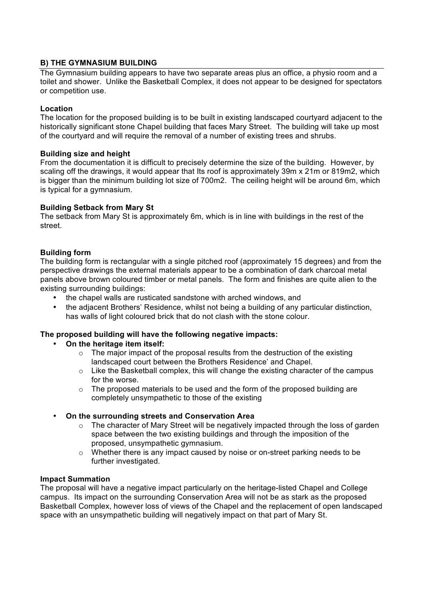# **B) THE GYMNASIUM BUILDING**

The Gymnasium building appears to have two separate areas plus an office, a physio room and a toilet and shower. Unlike the Basketball Complex, it does not appear to be designed for spectators or competition use.

# **Location**

The location for the proposed building is to be built in existing landscaped courtyard adjacent to the historically significant stone Chapel building that faces Mary Street. The building will take up most of the courtyard and will require the removal of a number of existing trees and shrubs.

## **Building size and height**

From the documentation it is difficult to precisely determine the size of the building. However, by scaling off the drawings, it would appear that Its roof is approximately 39m x 21m or 819m2, which is bigger than the minimum building lot size of 700m2. The ceiling height will be around 6m, which is typical for a gymnasium.

## **Building Setback from Mary St**

The setback from Mary St is approximately 6m, which is in line with buildings in the rest of the street.

## **Building form**

The building form is rectangular with a single pitched roof (approximately 15 degrees) and from the perspective drawings the external materials appear to be a combination of dark charcoal metal panels above brown coloured timber or metal panels. The form and finishes are quite alien to the existing surrounding buildings:

- the chapel walls are rusticated sandstone with arched windows, and
- the adiacent Brothers' Residence, whilst not being a building of any particular distinction, has walls of light coloured brick that do not clash with the stone colour.

# **The proposed building will have the following negative impacts:**

- **On the heritage item itself:**
	- $\circ$  The major impact of the proposal results from the destruction of the existing landscaped court between the Brothers Residence' and Chapel.
	- $\circ$  Like the Basketball complex, this will change the existing character of the campus for the worse.
	- $\circ$  The proposed materials to be used and the form of the proposed building are completely unsympathetic to those of the existing

# • **On the surrounding streets and Conservation Area**

- $\circ$  The character of Mary Street will be negatively impacted through the loss of garden space between the two existing buildings and through the imposition of the proposed, unsympathetic gymnasium.
- o Whether there is any impact caused by noise or on-street parking needs to be further investigated.

### **Impact Summation**

The proposal will have a negative impact particularly on the heritage-listed Chapel and College campus. Its impact on the surrounding Conservation Area will not be as stark as the proposed Basketball Complex, however loss of views of the Chapel and the replacement of open landscaped space with an unsympathetic building will negatively impact on that part of Mary St.